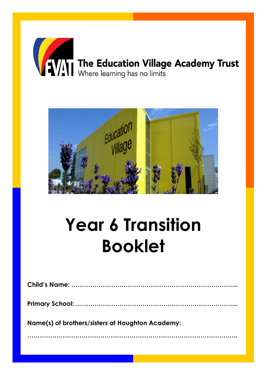



## **Year 6 Transition Booklet**

| Name(s) of brothers/sisters at Haughton Academy: |
|--------------------------------------------------|
|                                                  |
|                                                  |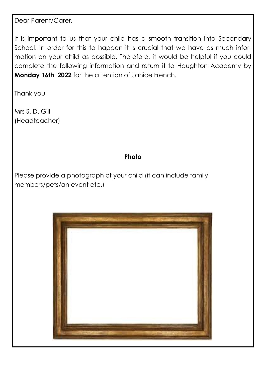Dear Parent/Carer,

It is important to us that your child has a smooth transition into Secondary School. In order for this to happen it is crucial that we have as much information on your child as possible. Therefore, it would be helpful if you could complete the following information and return it to Haughton Academy by **Monday 16th 2022** for the attention of Janice French.

Thank you

Mrs S. D. Gill (Headteacher)

### **Photo**

Please provide a photograph of your child (it can include family members/pets/an event etc.)

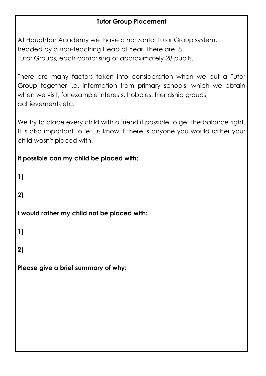### **Tutor Group Placement**

At Haughton Academy we have a horizontal Tutor Group system, headed by a non-teaching Head of Year. There are 8 Tutor Groups, each comprising of approximately 28 pupils.

There are many factors taken into consideration when we put a Tutor Group together i.e. information from primary schools, which we obtain when we visit, for example interests, hobbies, friendship groups, achievements etc.

We try to place every child with a friend if possible to get the balance right. It is also important to let us know if there is anyone you would rather your child wasn't placed with.

### **If possible can my child be placed with:**

**1) 2) I would rather my child not be placed with: 1) 2) Please give a brief summary of why:**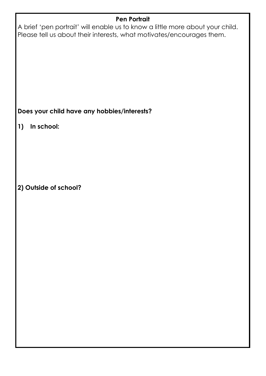# **Pen Portrait** A brief 'pen portrait' will enable us to know a little more about your child. Please tell us about their interests, what motivates/encourages them. **Does your child have any hobbies/interests? 1) In school: 2) Outside of school?**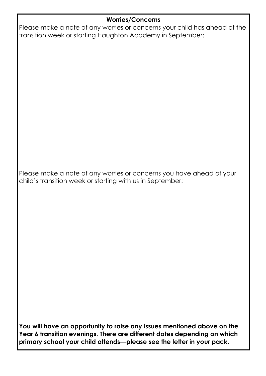### **Worries/Concerns**

Please make a note of any worries or concerns your child has ahead of the transition week or starting Haughton Academy in September:

Please make a note of any worries or concerns you have ahead of your child's transition week or starting with us in September:

**You will have an opportunity to raise any issues mentioned above on the Year 6 transition evenings. There are different dates depending on which primary school your child attends—please see the letter in your pack.**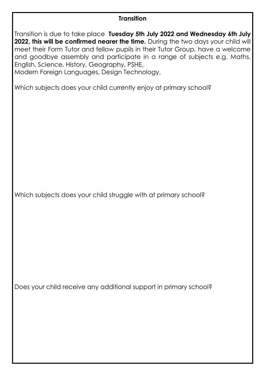### **Transition**

Transition is due to take place **Tuesday 5th July 2022 and Wednesday 6th July 2022, this will be confirmed nearer the time.** During the two days your child will meet their Form Tutor and fellow pupils in their Tutor Group, have a welcome and goodbye assembly and participate in a range of subjects e.g. Maths, English, Science, History, Geography, PSHE,

Modern Foreign Languages, Design Technology.

Which subjects does your child currently enjoy at primary school?

Which subjects does your child struggle with at primary school?

Does your child receive any additional support in primary school?